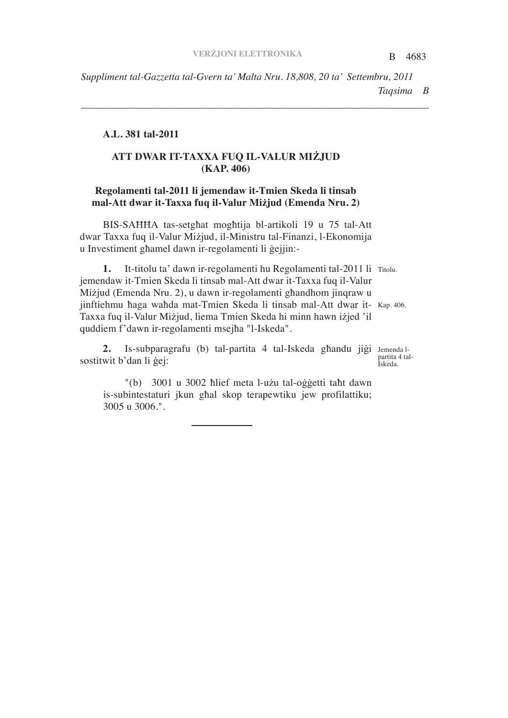*\_\_\_\_\_\_\_\_\_\_\_\_\_\_\_\_\_\_\_\_\_\_\_\_\_\_\_\_\_\_\_\_\_\_\_\_\_\_\_\_\_\_\_\_\_\_\_\_\_\_\_\_\_\_\_\_\_\_\_\_\_\_\_\_\_\_\_\_*

#### **A.L. 381 tal-2011**

# **ATT DWAR IT-TAXXA FUQ IL-VALUR MIJUD (KAP. 406)**

### **Regolamenti tal-2011 li jemendaw it-Tmien Skeda li tinsab mal-Att dwar it-Taxxa fuq il-Valur Mijud (Emenda Nru. 2)**

BIS-SAHHA tas-setghat moghtija bl-artikoli 19 u 75 tal-Att dwar Taxxa fuq il-Valur Mizjud, il-Ministru tal-Finanzi, l-Ekonomija u Investiment ghamel dawn ir-regolamenti li gejjin:-

1. It-titolu ta' dawn ir-regolamenti hu Regolamenti tal-2011 li Titolu. jinftiehmu haga wahda mat-Tmien Skeda li tinsab mal-Att dwar it- Kap. 406. jemendaw it-Tmien Skeda li tinsab mal-Att dwar it-Taxxa fuq il-Valur Miżjud (Emenda Nru. 2), u dawn ir-regolamenti ghandhom jinqraw u Taxxa fuq il-Valur Miżjud, liema Tmien Skeda hi minn hawn iżjed 'il quddiem f'dawn ir-regolamenti msejha "l-Iskeda".

2. Is-subparagrafu (b) tal-partita 4 tal-Iskeda ghandu jigi Jemenda lsostitwit b'dan li gej:

"(b) 3001 u 3002 hlief meta l-użu tal-oggetti taht dawn is-subintestaturi jkun ghal skop terapewtiku jew profilattiku; 3005 u 3006.".

partita 4 tal-Iskeda.